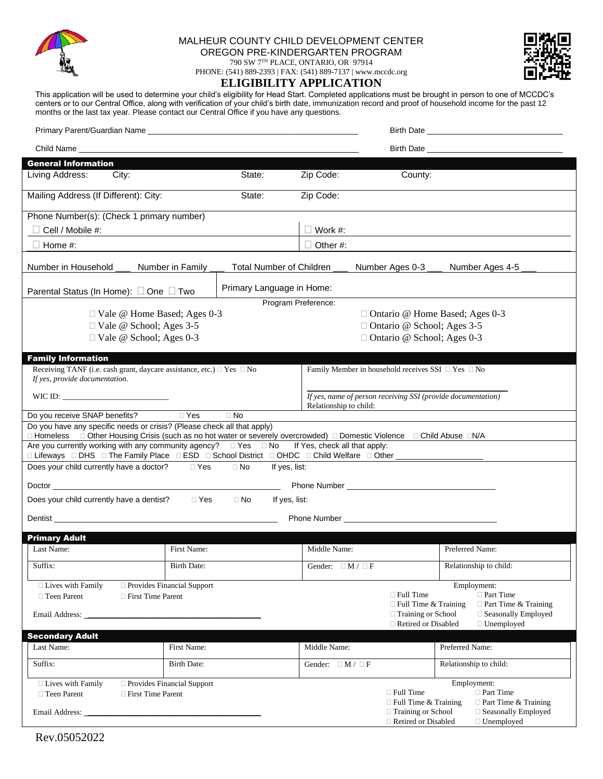

## MALHEUR COUNTY CHILD DEVELOPMENT CENTER OREGON PRE-KINDERGARTEN PROGRAM 790 SW 7TH PLACE, ONTARIO, OR 97914

PHONE: (541) 889-2393 | FAX: (541) 889-7137 | www.mccdc.org

## **ELIGIBILITY APPLICATION**



This application will be used to determine your child's eligibility for Head Start. Completed applications must be brought in person to one of MCCDC's centers or to our Central Office, along with verification of your child's birth date, immunization record and proof of household income for the past 12 months or the last tax year. Please contact our Central Office if you have any questions.

|                                                                                                                                                                                                                                     |                              |                                                                                                                                                                                                                                     |                                                                            | <b>Birth Date Birth Date</b>                                                   |  |  |  |
|-------------------------------------------------------------------------------------------------------------------------------------------------------------------------------------------------------------------------------------|------------------------------|-------------------------------------------------------------------------------------------------------------------------------------------------------------------------------------------------------------------------------------|----------------------------------------------------------------------------|--------------------------------------------------------------------------------|--|--|--|
|                                                                                                                                                                                                                                     |                              | Birth Date <u>New York Community of the State of</u> the State of the State of the State of the State of the State of the State of the State of the State of the State of the State of the State of the State of the State of the S |                                                                            |                                                                                |  |  |  |
| <b>General Information</b>                                                                                                                                                                                                          |                              |                                                                                                                                                                                                                                     |                                                                            |                                                                                |  |  |  |
| Living Address:<br>City:                                                                                                                                                                                                            | State:                       | Zip Code:                                                                                                                                                                                                                           | County:                                                                    |                                                                                |  |  |  |
| Mailing Address (If Different): City:                                                                                                                                                                                               | State:                       | Zip Code:                                                                                                                                                                                                                           |                                                                            |                                                                                |  |  |  |
| Phone Number(s): (Check 1 primary number)                                                                                                                                                                                           |                              |                                                                                                                                                                                                                                     |                                                                            |                                                                                |  |  |  |
| Cell / Mobile #:                                                                                                                                                                                                                    | $\Box$ Work #:               |                                                                                                                                                                                                                                     |                                                                            |                                                                                |  |  |  |
| $\Box$ Home #:                                                                                                                                                                                                                      |                              | $\Box$ Other #:                                                                                                                                                                                                                     |                                                                            |                                                                                |  |  |  |
| Number in Household                                                                                                                                                                                                                 | Number in Family             | Total Number of Children                                                                                                                                                                                                            | Number Ages 0-3                                                            | Number Ages 4-5                                                                |  |  |  |
| Parental Status (In Home): □ One □ Two                                                                                                                                                                                              |                              | Primary Language in Home:                                                                                                                                                                                                           |                                                                            |                                                                                |  |  |  |
|                                                                                                                                                                                                                                     |                              | Program Preference:                                                                                                                                                                                                                 |                                                                            |                                                                                |  |  |  |
| $\Box$ Vale @ Home Based; Ages 0-3                                                                                                                                                                                                  |                              |                                                                                                                                                                                                                                     | □ Ontario @ Home Based; Ages 0-3                                           |                                                                                |  |  |  |
| □ Vale @ School; Ages 3-5<br>□ Vale @ School; Ages 0-3                                                                                                                                                                              |                              |                                                                                                                                                                                                                                     | □ Ontario @ School; Ages 3-5<br>□ Ontario @ School; Ages 0-3               |                                                                                |  |  |  |
|                                                                                                                                                                                                                                     |                              |                                                                                                                                                                                                                                     |                                                                            |                                                                                |  |  |  |
| <b>Family Information</b>                                                                                                                                                                                                           |                              |                                                                                                                                                                                                                                     |                                                                            |                                                                                |  |  |  |
| Receiving TANF (i.e. cash grant, daycare assistance, etc.) □ Yes □ No<br>If yes, provide documentation.                                                                                                                             |                              | Family Member in household receives SSI □ Yes □ No                                                                                                                                                                                  |                                                                            |                                                                                |  |  |  |
| WIC ID: $\qquad \qquad$                                                                                                                                                                                                             |                              | If yes, name of person receiving SSI (provide documentation)<br>Relationship to child:                                                                                                                                              |                                                                            |                                                                                |  |  |  |
| Do you receive SNAP benefits?                                                                                                                                                                                                       | □ Yes<br>$\Box$ No           |                                                                                                                                                                                                                                     |                                                                            |                                                                                |  |  |  |
| Do you have any specific needs or crisis? (Please check all that apply)<br>D Homeless D Other Housing Crisis (such as no hot water or severely overcrowded) D Domestic Violence D Child Abuse DN/A                                  |                              |                                                                                                                                                                                                                                     |                                                                            |                                                                                |  |  |  |
| Are you currently working with any community agency? $\square$ Yes $\square$ No If Yes, check all that apply:<br>□ Lifeways □ DHS □ The Family Place □ ESD □ School District □ OHDC □ Child Welfare □ Other ___________________     |                              |                                                                                                                                                                                                                                     |                                                                            |                                                                                |  |  |  |
| Does your child currently have a doctor?<br>⊟ Yes<br>$\Box$ No<br>If yes, list:                                                                                                                                                     |                              |                                                                                                                                                                                                                                     |                                                                            |                                                                                |  |  |  |
|                                                                                                                                                                                                                                     |                              |                                                                                                                                                                                                                                     |                                                                            |                                                                                |  |  |  |
| Does your child currently have a dentist?                                                                                                                                                                                           | □ Yes   □ No                 | If yes, list:                                                                                                                                                                                                                       |                                                                            |                                                                                |  |  |  |
| Dentist <b>Example 2018 Contract 2018 Contract 2018 Contract 2018 Contract 2018</b>                                                                                                                                                 |                              |                                                                                                                                                                                                                                     |                                                                            |                                                                                |  |  |  |
| <b>Primary Adult</b>                                                                                                                                                                                                                |                              |                                                                                                                                                                                                                                     |                                                                            |                                                                                |  |  |  |
| Last Name:                                                                                                                                                                                                                          | First Name:                  | Middle Name:                                                                                                                                                                                                                        |                                                                            | Preferred Name:                                                                |  |  |  |
| Suffix:                                                                                                                                                                                                                             | Birth Date:                  | Gender: $\Box M / \Box F$                                                                                                                                                                                                           |                                                                            | Relationship to child:                                                         |  |  |  |
| $\Box$ Lives with Family                                                                                                                                                                                                            | □ Provides Financial Support |                                                                                                                                                                                                                                     |                                                                            | Employment:                                                                    |  |  |  |
| □ Teen Parent<br>□ First Time Parent                                                                                                                                                                                                |                              |                                                                                                                                                                                                                                     | $\Box$ Full Time                                                           | $\Box$ Part Time                                                               |  |  |  |
| Email Address: <u>Department</u> of the contract of the contract of the contract of the contract of the contract of the contract of the contract of the contract of the contract of the contract of the contract of the contract of |                              |                                                                                                                                                                                                                                     | $\Box$ Full Time & Training<br>□ Training or School<br>Retired or Disabled | $\Box$ Part Time & Training<br>$\Box$ Seasonally Employed<br>$\Box$ Unemployed |  |  |  |
| <b>Secondary Adult</b>                                                                                                                                                                                                              |                              |                                                                                                                                                                                                                                     |                                                                            |                                                                                |  |  |  |
| Last Name:                                                                                                                                                                                                                          | First Name:                  | Middle Name:                                                                                                                                                                                                                        | Preferred Name:                                                            |                                                                                |  |  |  |
| Suffix:                                                                                                                                                                                                                             | Birth Date:                  | Gender: $\Box M / \Box F$                                                                                                                                                                                                           |                                                                            | Relationship to child:                                                         |  |  |  |
| $\Box$ Lives with Family                                                                                                                                                                                                            | □ Provides Financial Support |                                                                                                                                                                                                                                     |                                                                            | Employment:                                                                    |  |  |  |
| □ Teen Parent<br>□ First Time Parent                                                                                                                                                                                                |                              |                                                                                                                                                                                                                                     | □ Full Time<br>$\Box$ Full Time & Training                                 | □ Part Time<br>$\Box$ Part Time & Training                                     |  |  |  |
|                                                                                                                                                                                                                                     |                              |                                                                                                                                                                                                                                     | □ Training or School<br>□ Retired or Disabled                              | □ Seasonally Employed<br>$\Box$ Unemployed                                     |  |  |  |